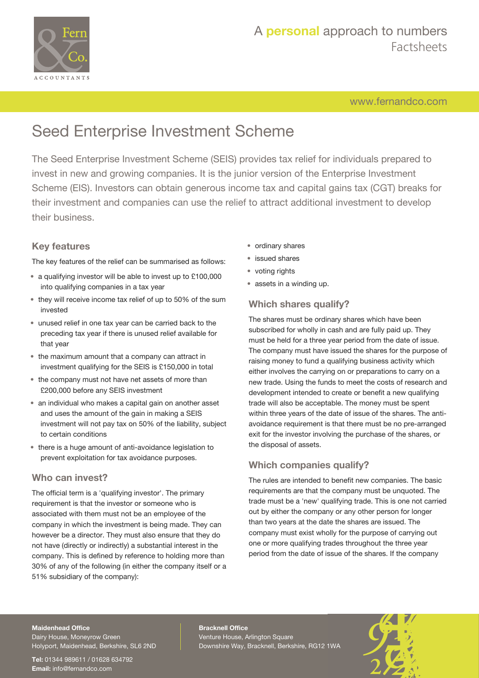

## A **personal** approach to numbers Factsheets

[www.fernandco.com](http://www.fernandco.com)

# Seed Enterprise Investment Scheme

The Seed Enterprise Investment Scheme (SEIS) provides tax relief for individuals prepared to invest in new and growing companies. It is the junior version of the Enterprise Investment Scheme (EIS). Investors can obtain generous income tax and capital gains tax (CGT) breaks for their investment and companies can use the relief to attract additional investment to develop their business.

#### **Key features**

The key features of the relief can be summarised as follows:

- a qualifying investor will be able to invest up to £100,000 into qualifying companies in a tax year
- they will receive income tax relief of up to 50% of the sum invested
- unused relief in one tax year can be carried back to the preceding tax year if there is unused relief available for that year
- the maximum amount that a company can attract in investment qualifying for the SEIS is £150,000 in total
- the company must not have net assets of more than £200,000 before any SEIS investment
- an individual who makes a capital gain on another asset and uses the amount of the gain in making a SEIS investment will not pay tax on 50% of the liability, subject to certain conditions
- there is a huge amount of anti-avoidance legislation to prevent exploitation for tax avoidance purposes.

#### **Who can invest?**

The official term is a 'qualifying investor'. The primary requirement is that the investor or someone who is associated with them must not be an employee of the company in which the investment is being made. They can however be a director. They must also ensure that they do not have (directly or indirectly) a substantial interest in the company. This is defined by reference to holding more than 30% of any of the following (in either the company itself or a 51% subsidiary of the company):

- ordinary shares
- issued shares
- voting rights
- assets in a winding up.

### **Which shares qualify?**

The shares must be ordinary shares which have been subscribed for wholly in cash and are fully paid up. They must be held for a three year period from the date of issue. The company must have issued the shares for the purpose of raising money to fund a qualifying business activity which either involves the carrying on or preparations to carry on a new trade. Using the funds to meet the costs of research and development intended to create or benefit a new qualifying trade will also be acceptable. The money must be spent within three years of the date of issue of the shares. The antiavoidance requirement is that there must be no pre-arranged exit for the investor involving the purchase of the shares, or the disposal of assets.

### **Which companies qualify?**

The rules are intended to benefit new companies. The basic requirements are that the company must be unquoted. The trade must be a 'new' qualifying trade. This is one not carried out by either the company or any other person for longer than two years at the date the shares are issued. The company must exist wholly for the purpose of carrying out one or more qualifying trades throughout the three year period from the date of issue of the shares. If the company

#### **Maidenhead Office**

Dairy House, Moneyrow Green Holyport, Maidenhead, Berkshire, SL6 2ND

**Tel:** 01344 989611 / 01628 634792 **Email:** [info@fernandco.com](mailto:info@fernandco.com)

**Bracknell Office** Venture House, Arlington Square Downshire Way, Bracknell, Berkshire, RG12 1WA

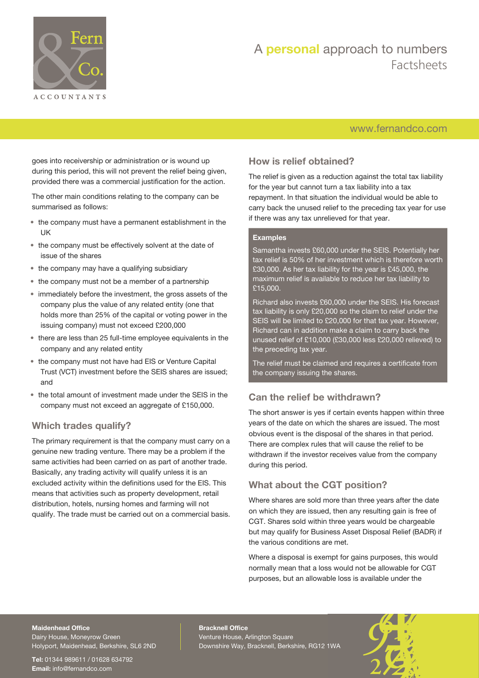

## A **personal** approach to numbers Factsheets

## [www.fernandco.com](http://www.fernandco.com)

goes into receivership or administration or is wound up during this period, this will not prevent the relief being given, provided there was a commercial justification for the action.

The other main conditions relating to the company can be summarised as follows:

- the company must have a permanent establishment in the UK
- the company must be effectively solvent at the date of issue of the shares
- the company may have a qualifying subsidiary
- the company must not be a member of a partnership
- immediately before the investment, the gross assets of the company plus the value of any related entity (one that holds more than 25% of the capital or voting power in the issuing company) must not exceed £200,000
- there are less than 25 full-time employee equivalents in the company and any related entity
- the company must not have had EIS or Venture Capital Trust (VCT) investment before the SEIS shares are issued; and
- the total amount of investment made under the SEIS in the company must not exceed an aggregate of £150,000.

#### **Which trades qualify?**

The primary requirement is that the company must carry on a genuine new trading venture. There may be a problem if the same activities had been carried on as part of another trade. Basically, any trading activity will qualify unless it is an excluded activity within the definitions used for the EIS. This means that activities such as property development, retail distribution, hotels, nursing homes and farming will not qualify. The trade must be carried out on a commercial basis.

### **How is relief obtained?**

The relief is given as a reduction against the total tax liability for the year but cannot turn a tax liability into a tax repayment. In that situation the individual would be able to carry back the unused relief to the preceding tax year for use if there was any tax unrelieved for that year.

#### **Examples**

Samantha invests £60,000 under the SEIS. Potentially her tax relief is 50% of her investment which is therefore worth £30,000. As her tax liability for the year is £45,000, the maximum relief is available to reduce her tax liability to £15,000.

Richard also invests £60,000 under the SEIS. His forecast tax liability is only £20,000 so the claim to relief under the SEIS will be limited to £20,000 for that tax year. However, Richard can in addition make a claim to carry back the unused relief of £10,000 (£30,000 less £20,000 relieved) to the preceding tax year.

The relief must be claimed and requires a certificate from the company issuing the shares.

#### **Can the relief be withdrawn?**

The short answer is yes if certain events happen within three years of the date on which the shares are issued. The most obvious event is the disposal of the shares in that period. There are complex rules that will cause the relief to be withdrawn if the investor receives value from the company during this period.

#### **What about the CGT position?**

Where shares are sold more than three years after the date on which they are issued, then any resulting gain is free of CGT. Shares sold within three years would be chargeable but may qualify for Business Asset Disposal Relief (BADR) if the various conditions are met.

Where a disposal is exempt for gains purposes, this would normally mean that a loss would not be allowable for CGT purposes, but an allowable loss is available under the

#### **Maidenhead Office**

Dairy House, Moneyrow Green Holyport, Maidenhead, Berkshire, SL6 2ND

**Tel:** 01344 989611 / 01628 634792 **Email:** [info@fernandco.com](mailto:info@fernandco.com)

**Bracknell Office** Venture House, Arlington Square Downshire Way, Bracknell, Berkshire, RG12 1WA